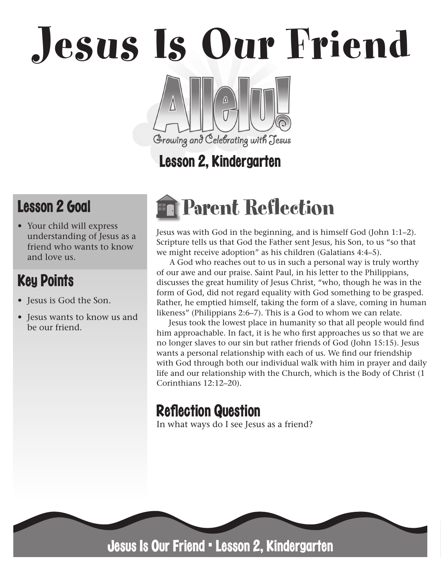Jesus Is Our Friend

Lesson 2, Kindergarten

Growing and Celebrating with Jesus

## Lesson 2 Goal

• Your child will express understanding of Jesus as a friend who wants to know and love us.

## Key Points

- Jesus is God the Son.
- Jesus wants to know us and be our friend.

# Parent Reflection

Jesus was with God in the beginning, and is himself God (John 1:1–2). Scripture tells us that God the Father sent Jesus, his Son, to us "so that we might receive adoption" as his children (Galatians 4:4–5).

A God who reaches out to us in such a personal way is truly worthy of our awe and our praise. Saint Paul, in his letter to the Philippians, discusses the great humility of Jesus Christ, "who, though he was in the form of God, did not regard equality with God something to be grasped. Rather, he emptied himself, taking the form of a slave, coming in human likeness" (Philippians 2:6–7). This is a God to whom we can relate.

Jesus took the lowest place in humanity so that all people would find him approachable. In fact, it is he who first approaches us so that we are no longer slaves to our sin but rather friends of God (John 15:15). Jesus wants a personal relationship with each of us. We find our friendship with God through both our individual walk with him in prayer and daily life and our relationship with the Church, which is the Body of Christ (1 Corinthians 12:12–20).

## **Reflection Question**

In what ways do I see Jesus as a friend?



Jesus Is Our Friend • Lesson 2, Kindergarten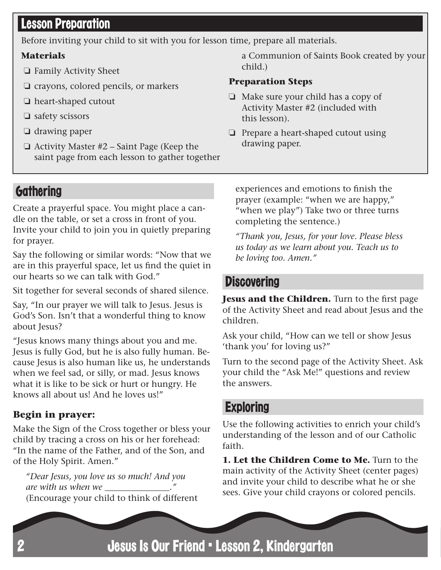## **Lesson Preparation**

Before inviting your child to sit with you for lesson time, prepare all materials.

#### **Materials**

- ❏ Family Activity Sheet
- ❏ crayons, colored pencils, or markers
- ❏ heart-shaped cutout
- ❏ safety scissors
- ❏ drawing paper
- ❏ Activity Master #2 Saint Page (Keep the saint page from each lesson to gather together

a Communion of Saints Book created by your child.)

#### **Preparation Steps**

- ❏ Make sure your child has a copy of Activity Master #2 (included with this lesson).
- ❏ Prepare a heart-shaped cutout using drawing paper.

### **Gathering**

Create a prayerful space. You might place a candle on the table, or set a cross in front of you. Invite your child to join you in quietly preparing for prayer.

Say the following or similar words: "Now that we are in this prayerful space, let us find the quiet in our hearts so we can talk with God."

Sit together for several seconds of shared silence.

Say, "In our prayer we will talk to Jesus. Jesus is God's Son. Isn't that a wonderful thing to know about Jesus?

"Jesus knows many things about you and me. Jesus is fully God, but he is also fully human. Because Jesus is also human like us, he understands when we feel sad, or silly, or mad. Jesus knows what it is like to be sick or hurt or hungry. He knows all about us! And he loves us!"

#### **Begin in prayer:**

Make the Sign of the Cross together or bless your child by tracing a cross on his or her forehead: "In the name of the Father, and of the Son, and of the Holy Spirit. Amen."

*"Dear Jesus, you love us so much! And you are with us when we* (Encourage your child to think of different experiences and emotions to finish the prayer (example: "when we are happy," "when we play") Take two or three turns completing the sentence.)

*"Thank you, Jesus, for your love. Please bless us today as we learn about you. Teach us to be loving too. Amen."*

#### **Discovering**

**Jesus and the Children.** Turn to the first page of the Activity Sheet and read about Jesus and the children.

Ask your child, "How can we tell or show Jesus 'thank you' for loving us?"

Turn to the second page of the Activity Sheet. Ask your child the "Ask Me!" questions and review the answers.

#### **Exploring**

Use the following activities to enrich your child's understanding of the lesson and of our Catholic faith.

**1. Let the Children Come to Me.** Turn to the main activity of the Activity Sheet (center pages) and invite your child to describe what he or she sees. Give your child crayons or colored pencils.

Jesus Is Our Friend • Lesson 2, Kindergarten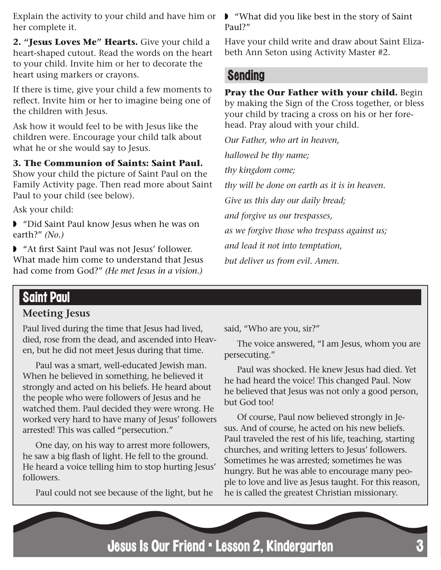Explain the activity to your child and have him or ■ "What did you like best in the story of Saint her complete it.

**2. "Jesus Loves Me" Hearts.** Give your child a heart-shaped cutout. Read the words on the heart to your child. Invite him or her to decorate the heart using markers or crayons.

If there is time, give your child a few moments to reflect. Invite him or her to imagine being one of the children with Jesus.

Ask how it would feel to be with Jesus like the children were. Encourage your child talk about what he or she would say to Jesus.

**3. The Communion of Saints: Saint Paul.** 

Show your child the picture of Saint Paul on the Family Activity page. Then read more about Saint Paul to your child (see below).

Ask your child:

◗ "Did Saint Paul know Jesus when he was on earth?" *(No.)*

◗ "At first Saint Paul was not Jesus' follower. What made him come to understand that Jesus had come from God?" *(He met Jesus in a vision.)* Paul?"

Have your child write and draw about Saint Elizabeth Ann Seton using Activity Master #2.

#### Sending

**Pray the Our Father with your child.** Begin by making the Sign of the Cross together, or bless your child by tracing a cross on his or her forehead. Pray aloud with your child.

*Our Father, who art in heaven, hallowed be thy name; thy kingdom come; thy will be done on earth as it is in heaven. Give us this day our daily bread; and forgive us our trespasses, as we forgive those who trespass against us; and lead it not into temptation, but deliver us from evil. Amen.*

#### Saint Paul

#### **Meeting Jesus**

Paul lived during the time that Jesus had lived, died, rose from the dead, and ascended into Heaven, but he did not meet Jesus during that time.

Paul was a smart, well-educated Jewish man. When he believed in something, he believed it strongly and acted on his beliefs. He heard about the people who were followers of Jesus and he watched them. Paul decided they were wrong. He worked very hard to have many of Jesus' followers arrested! This was called "persecution."

One day, on his way to arrest more followers, he saw a big flash of light. He fell to the ground. He heard a voice telling him to stop hurting Jesus' followers.

Paul could not see because of the light, but he

said, "Who are you, sir?"

The voice answered, "I am Jesus, whom you are persecuting."

Paul was shocked. He knew Jesus had died. Yet he had heard the voice! This changed Paul. Now he believed that Jesus was not only a good person, but God too!

Of course, Paul now believed strongly in Jesus. And of course, he acted on his new beliefs. Paul traveled the rest of his life, teaching, starting churches, and writing letters to Jesus' followers. Sometimes he was arrested; sometimes he was hungry. But he was able to encourage many people to love and live as Jesus taught. For this reason, he is called the greatest Christian missionary.

Jesus Is Our Friend • Lesson 2, Kindergarten